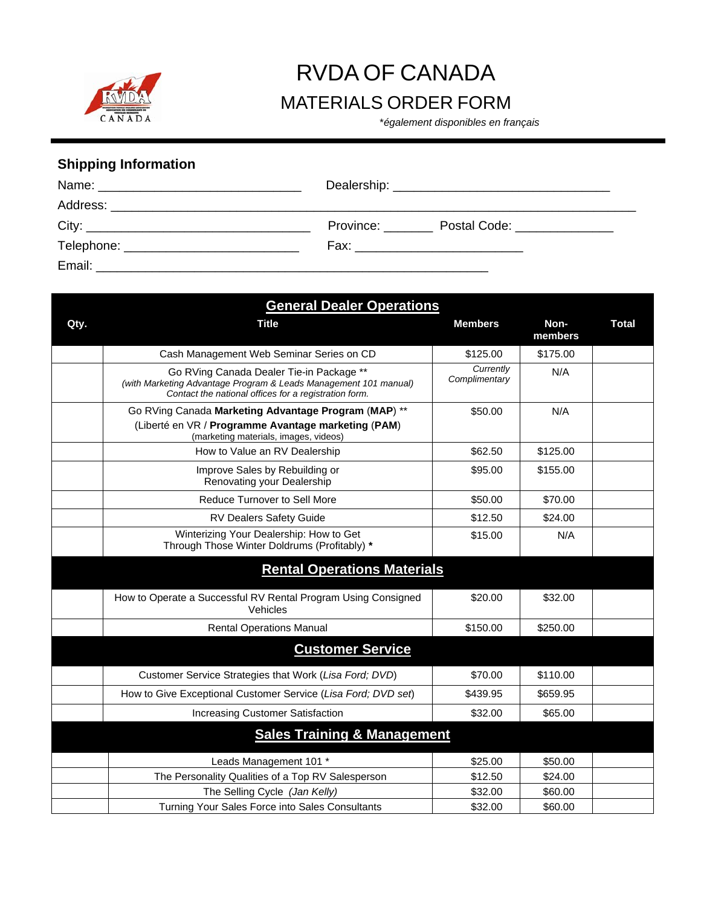

## RVDA OF CANADA

## MATERIALS ORDER FORM \**également disponibles en français*

## **Shipping Information**

|  | Province: Postal Code: ____________ |  |  |
|--|-------------------------------------|--|--|
|  | Fax: ___________________________    |  |  |
|  |                                     |  |  |

| <b>General Dealer Operations</b>       |                                                                                                                                                                       |                            |                 |              |  |  |
|----------------------------------------|-----------------------------------------------------------------------------------------------------------------------------------------------------------------------|----------------------------|-----------------|--------------|--|--|
| Qty.                                   | <b>Title</b>                                                                                                                                                          | <b>Members</b>             | Non-<br>members | <b>Total</b> |  |  |
|                                        | Cash Management Web Seminar Series on CD                                                                                                                              | \$125.00                   | \$175.00        |              |  |  |
|                                        | Go RVing Canada Dealer Tie-in Package **<br>(with Marketing Advantage Program & Leads Management 101 manual)<br>Contact the national offices for a registration form. | Currently<br>Complimentary | N/A             |              |  |  |
|                                        | Go RVing Canada Marketing Advantage Program (MAP) **                                                                                                                  | \$50.00                    | N/A             |              |  |  |
|                                        | (Liberté en VR / Programme Avantage marketing (PAM)<br>(marketing materials, images, videos)                                                                          |                            |                 |              |  |  |
|                                        | How to Value an RV Dealership                                                                                                                                         | \$62.50                    | \$125.00        |              |  |  |
|                                        | Improve Sales by Rebuilding or<br>Renovating your Dealership                                                                                                          | \$95.00                    | \$155.00        |              |  |  |
|                                        | Reduce Turnover to Sell More                                                                                                                                          | \$50.00                    | \$70.00         |              |  |  |
|                                        | RV Dealers Safety Guide                                                                                                                                               | \$12.50                    | \$24.00         |              |  |  |
|                                        | Winterizing Your Dealership: How to Get<br>Through Those Winter Doldrums (Profitably) *                                                                               | \$15.00                    | N/A             |              |  |  |
|                                        | <b>Rental Operations Materials</b>                                                                                                                                    |                            |                 |              |  |  |
|                                        | How to Operate a Successful RV Rental Program Using Consigned<br>Vehicles                                                                                             | \$20.00                    | \$32.00         |              |  |  |
|                                        | <b>Rental Operations Manual</b>                                                                                                                                       | \$150.00                   | \$250.00        |              |  |  |
|                                        | <b>Customer Service</b>                                                                                                                                               |                            |                 |              |  |  |
|                                        | Customer Service Strategies that Work (Lisa Ford; DVD)                                                                                                                | \$70.00                    | \$110.00        |              |  |  |
|                                        | How to Give Exceptional Customer Service (Lisa Ford; DVD set)                                                                                                         | \$439.95                   | \$659.95        |              |  |  |
|                                        | Increasing Customer Satisfaction                                                                                                                                      | \$32.00                    | \$65.00         |              |  |  |
| <b>Sales Training &amp; Management</b> |                                                                                                                                                                       |                            |                 |              |  |  |
|                                        | Leads Management 101 *                                                                                                                                                | \$25.00                    | \$50.00         |              |  |  |
|                                        | The Personality Qualities of a Top RV Salesperson                                                                                                                     | \$12.50                    | \$24.00         |              |  |  |
|                                        | The Selling Cycle (Jan Kelly)                                                                                                                                         | \$32.00                    | \$60.00         |              |  |  |
|                                        | Turning Your Sales Force into Sales Consultants                                                                                                                       | \$32.00                    | \$60.00         |              |  |  |